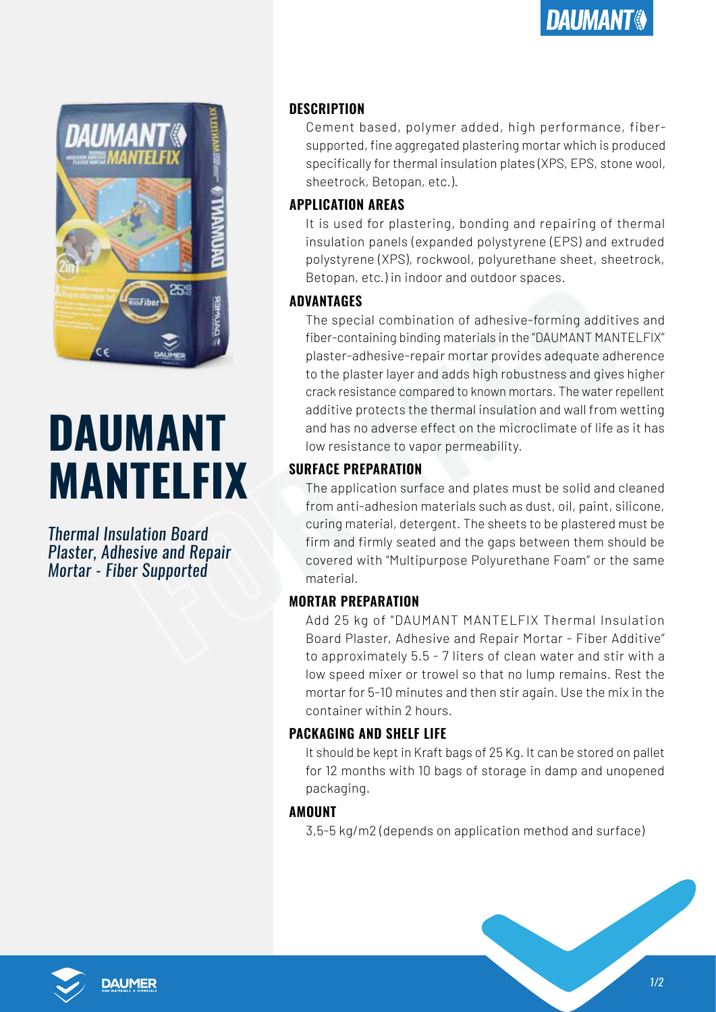

# **DAUMANT MANTELFIX**

*Thermal Insulation Board Plaster, Adhesive and Repair Mortar - Fiber Supported*

## **DESCRIPTION**

Cement based, polymer added, high performance, fibersupported, fine aggregated plastering mortar which is produced specifically for thermal insulation plates (XPS, EPS, stone wool, sheetrock, Betopan, etc.).

### **APPLICATION AREAS**

It is used for plastering, bonding and repairing of thermal insulation panels (expanded polystyrene (EPS) and extruded polystyrene (XPS), rockwool, polyurethane sheet, sheetrock, Betopan, etc.) in indoor and outdoor spaces.

### **ADVANTAGES**

EXAMPLE THE MORTAIN AND THE SURFACE PREPARATION<br>
SURFACE The special combination of adhesive-forming additive<br>
fiber-containing binding materials in the "DAUMANT MANT<br>
plaster-adhesive-repair mortar provides adequate adhes The special combination of adhesive-forming additives and fiber-containing binding materials in the "DAUMANT MANTELFIX" plaster-adhesive-repair mortar provides adequate adherence to the plaster layer and adds high robustness and gives higher crack resistance compared to known mortars. The water repellent additive protects the thermal insulation and wall from wetting and has no adverse effect on the microclimate of life as it has low resistance to vapor permeability.

## **SURFACE PREPARATION**

The application surface and plates must be solid and cleaned from anti-adhesion materials such as dust, oil, paint, silicone, curing material, detergent. The sheets to be plastered must be firm and firmly seated and the gaps between them should be covered with "Multipurpose Polyurethane Foam" or the same material.

### **MORTAR PREPARATION**

Add 25 kg of "DAUMANT MANTELFIX Thermal Insulation Board Plaster, Adhesive and Repair Mortar - Fiber Additive" to approximately 5.5 - 7 liters of clean water and stir with a low speed mixer or trowel so that no lump remains. Rest the mortar for 5-10 minutes and then stir again. Use the mix in the container within 2 hours.

## **PACKAGING AND SHELF LIFE**

It should be kept in Kraft bags of 25 Kg. It can be stored on pallet for 12 months with 10 bags of storage in damp and unopened packaging.

## **AMOUNT**

3,5-5 kg/m2 (depends on application method and surface)